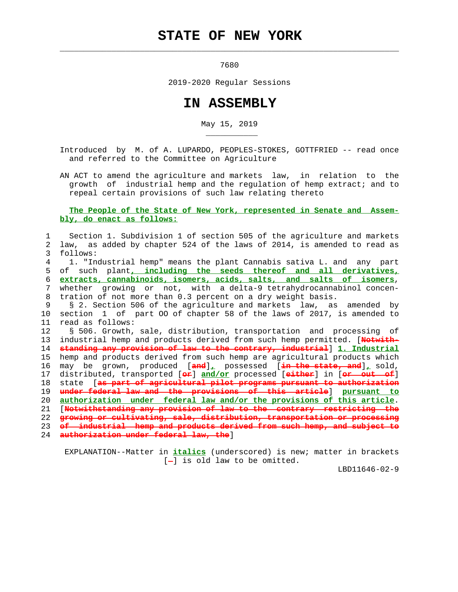## **STATE OF NEW YORK**

 $\mathcal{L}_\text{max} = \frac{1}{2} \sum_{i=1}^{n} \frac{1}{2} \sum_{i=1}^{n} \frac{1}{2} \sum_{i=1}^{n} \frac{1}{2} \sum_{i=1}^{n} \frac{1}{2} \sum_{i=1}^{n} \frac{1}{2} \sum_{i=1}^{n} \frac{1}{2} \sum_{i=1}^{n} \frac{1}{2} \sum_{i=1}^{n} \frac{1}{2} \sum_{i=1}^{n} \frac{1}{2} \sum_{i=1}^{n} \frac{1}{2} \sum_{i=1}^{n} \frac{1}{2} \sum_{i=1}^{n} \frac{1$ 

\_\_\_\_\_\_\_\_\_\_\_

7680

2019-2020 Regular Sessions

## **IN ASSEMBLY**

May 15, 2019

 Introduced by M. of A. LUPARDO, PEOPLES-STOKES, GOTTFRIED -- read once and referred to the Committee on Agriculture

 AN ACT to amend the agriculture and markets law, in relation to the growth of industrial hemp and the regulation of hemp extract; and to repeal certain provisions of such law relating thereto

 **The People of the State of New York, represented in Senate and Assem bly, do enact as follows:**

| law, as added by chapter 524 of the laws of 2014, is amended to read as<br>2.<br>3<br>follows:<br>1. "Industrial hemp" means the plant Cannabis sativa L. and any part<br>4<br>of such plant, including the seeds thereof and all derivatives,<br>5<br>extracts, cannabinoids, isomers, acids, salts, and salts of isomers,<br>б.<br>whether growing or not, with a delta-9 tetrahydrocannabinol concen-<br>7<br>tration of not more than 0.3 percent on a dry weight basis.<br>8<br>9<br>§ 2. Section 506 of the agriculture and markets law, as amended by<br>section 1 of part 00 of chapter 58 of the laws of 2017, is amended to<br>10<br>11<br>read as follows:<br>12<br>§ 506. Growth, sale, distribution, transportation and processing of<br>industrial hemp and products derived from such hemp permitted. [Notwith-<br>13<br>standing any provision of law to the contrary, industrial 1. Industrial<br>14<br>15<br>hemp and products derived from such hemp are agricultural products which<br>may be grown, produced [and], possessed [ <del>in the state, and</del> ], sold,<br>16<br>17<br>distributed, transported [ <del>or</del> ] and/or processed [either] in [or out of]<br>state [as part of agricultural pilot programs pursuant to authorization<br>18<br>under federal law and the provisions of this article] pursuant to<br>19<br>20<br>authorization under federal law and/or the provisions of this article.<br>[Notwithstanding any provision of law to the contrary restricting the<br>21<br>growing or cultivating, sale, distribution, transportation or processing<br>22<br>of industrial homp and products derived from such hemp, and subject to<br>23 | Section 1. Subdivision 1 of section 505 of the agriculture and markets |
|--------------------------------------------------------------------------------------------------------------------------------------------------------------------------------------------------------------------------------------------------------------------------------------------------------------------------------------------------------------------------------------------------------------------------------------------------------------------------------------------------------------------------------------------------------------------------------------------------------------------------------------------------------------------------------------------------------------------------------------------------------------------------------------------------------------------------------------------------------------------------------------------------------------------------------------------------------------------------------------------------------------------------------------------------------------------------------------------------------------------------------------------------------------------------------------------------------------------------------------------------------------------------------------------------------------------------------------------------------------------------------------------------------------------------------------------------------------------------------------------------------------------------------------------------------------------------------------------------------------------------------------------------------------------------------------------|------------------------------------------------------------------------|
|                                                                                                                                                                                                                                                                                                                                                                                                                                                                                                                                                                                                                                                                                                                                                                                                                                                                                                                                                                                                                                                                                                                                                                                                                                                                                                                                                                                                                                                                                                                                                                                                                                                                                            |                                                                        |
|                                                                                                                                                                                                                                                                                                                                                                                                                                                                                                                                                                                                                                                                                                                                                                                                                                                                                                                                                                                                                                                                                                                                                                                                                                                                                                                                                                                                                                                                                                                                                                                                                                                                                            |                                                                        |
|                                                                                                                                                                                                                                                                                                                                                                                                                                                                                                                                                                                                                                                                                                                                                                                                                                                                                                                                                                                                                                                                                                                                                                                                                                                                                                                                                                                                                                                                                                                                                                                                                                                                                            |                                                                        |
|                                                                                                                                                                                                                                                                                                                                                                                                                                                                                                                                                                                                                                                                                                                                                                                                                                                                                                                                                                                                                                                                                                                                                                                                                                                                                                                                                                                                                                                                                                                                                                                                                                                                                            |                                                                        |
|                                                                                                                                                                                                                                                                                                                                                                                                                                                                                                                                                                                                                                                                                                                                                                                                                                                                                                                                                                                                                                                                                                                                                                                                                                                                                                                                                                                                                                                                                                                                                                                                                                                                                            |                                                                        |
|                                                                                                                                                                                                                                                                                                                                                                                                                                                                                                                                                                                                                                                                                                                                                                                                                                                                                                                                                                                                                                                                                                                                                                                                                                                                                                                                                                                                                                                                                                                                                                                                                                                                                            |                                                                        |
|                                                                                                                                                                                                                                                                                                                                                                                                                                                                                                                                                                                                                                                                                                                                                                                                                                                                                                                                                                                                                                                                                                                                                                                                                                                                                                                                                                                                                                                                                                                                                                                                                                                                                            |                                                                        |
|                                                                                                                                                                                                                                                                                                                                                                                                                                                                                                                                                                                                                                                                                                                                                                                                                                                                                                                                                                                                                                                                                                                                                                                                                                                                                                                                                                                                                                                                                                                                                                                                                                                                                            |                                                                        |
|                                                                                                                                                                                                                                                                                                                                                                                                                                                                                                                                                                                                                                                                                                                                                                                                                                                                                                                                                                                                                                                                                                                                                                                                                                                                                                                                                                                                                                                                                                                                                                                                                                                                                            |                                                                        |
|                                                                                                                                                                                                                                                                                                                                                                                                                                                                                                                                                                                                                                                                                                                                                                                                                                                                                                                                                                                                                                                                                                                                                                                                                                                                                                                                                                                                                                                                                                                                                                                                                                                                                            |                                                                        |
|                                                                                                                                                                                                                                                                                                                                                                                                                                                                                                                                                                                                                                                                                                                                                                                                                                                                                                                                                                                                                                                                                                                                                                                                                                                                                                                                                                                                                                                                                                                                                                                                                                                                                            |                                                                        |
|                                                                                                                                                                                                                                                                                                                                                                                                                                                                                                                                                                                                                                                                                                                                                                                                                                                                                                                                                                                                                                                                                                                                                                                                                                                                                                                                                                                                                                                                                                                                                                                                                                                                                            |                                                                        |
|                                                                                                                                                                                                                                                                                                                                                                                                                                                                                                                                                                                                                                                                                                                                                                                                                                                                                                                                                                                                                                                                                                                                                                                                                                                                                                                                                                                                                                                                                                                                                                                                                                                                                            |                                                                        |
|                                                                                                                                                                                                                                                                                                                                                                                                                                                                                                                                                                                                                                                                                                                                                                                                                                                                                                                                                                                                                                                                                                                                                                                                                                                                                                                                                                                                                                                                                                                                                                                                                                                                                            |                                                                        |
|                                                                                                                                                                                                                                                                                                                                                                                                                                                                                                                                                                                                                                                                                                                                                                                                                                                                                                                                                                                                                                                                                                                                                                                                                                                                                                                                                                                                                                                                                                                                                                                                                                                                                            |                                                                        |
|                                                                                                                                                                                                                                                                                                                                                                                                                                                                                                                                                                                                                                                                                                                                                                                                                                                                                                                                                                                                                                                                                                                                                                                                                                                                                                                                                                                                                                                                                                                                                                                                                                                                                            |                                                                        |
|                                                                                                                                                                                                                                                                                                                                                                                                                                                                                                                                                                                                                                                                                                                                                                                                                                                                                                                                                                                                                                                                                                                                                                                                                                                                                                                                                                                                                                                                                                                                                                                                                                                                                            |                                                                        |
|                                                                                                                                                                                                                                                                                                                                                                                                                                                                                                                                                                                                                                                                                                                                                                                                                                                                                                                                                                                                                                                                                                                                                                                                                                                                                                                                                                                                                                                                                                                                                                                                                                                                                            |                                                                        |
|                                                                                                                                                                                                                                                                                                                                                                                                                                                                                                                                                                                                                                                                                                                                                                                                                                                                                                                                                                                                                                                                                                                                                                                                                                                                                                                                                                                                                                                                                                                                                                                                                                                                                            |                                                                        |
|                                                                                                                                                                                                                                                                                                                                                                                                                                                                                                                                                                                                                                                                                                                                                                                                                                                                                                                                                                                                                                                                                                                                                                                                                                                                                                                                                                                                                                                                                                                                                                                                                                                                                            |                                                                        |
|                                                                                                                                                                                                                                                                                                                                                                                                                                                                                                                                                                                                                                                                                                                                                                                                                                                                                                                                                                                                                                                                                                                                                                                                                                                                                                                                                                                                                                                                                                                                                                                                                                                                                            |                                                                        |
|                                                                                                                                                                                                                                                                                                                                                                                                                                                                                                                                                                                                                                                                                                                                                                                                                                                                                                                                                                                                                                                                                                                                                                                                                                                                                                                                                                                                                                                                                                                                                                                                                                                                                            |                                                                        |
| authorization under federal law, the ]<br>24                                                                                                                                                                                                                                                                                                                                                                                                                                                                                                                                                                                                                                                                                                                                                                                                                                                                                                                                                                                                                                                                                                                                                                                                                                                                                                                                                                                                                                                                                                                                                                                                                                               |                                                                        |

 EXPLANATION--Matter in **italics** (underscored) is new; matter in brackets [-] is old law to be omitted.

LBD11646-02-9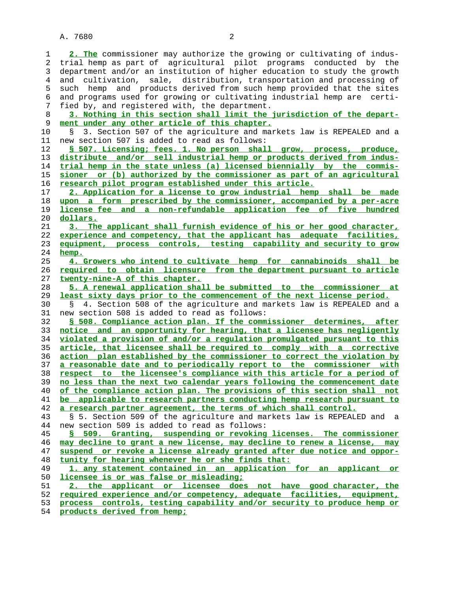**2. The** commissioner may authorize the growing or cultivating of indus- 2 trial hemp as part of agricultural pilot programs conducted by the 3 department and/or an institution of higher education to study the growth 4 and cultivation, sale, distribution, transportation and processing of 5 such hemp and products derived from such hemp provided that the sites 6 and programs used for growing or cultivating industrial hemp are certi- 7 fied by, and registered with, the department.

**3. Nothing in this section shall limit the jurisdiction of the depart** ment under any other article of this chapter.

 10 § 3. Section 507 of the agriculture and markets law is REPEALED and a 11 new section 507 is added to read as follows:

**§ 507. Licensing; fees. 1. No person shall grow, process, produce, distribute and/or sell industrial hemp or products derived from indus- trial hemp in the state unless (a) licensed biennially by the commis- sioner or (b) authorized by the commissioner as part of an agricultural research pilot program established under this article.**

**2. Application for a license to grow industrial hemp shall be made upon a form prescribed by the commissioner, accompanied by a per-acre license fee and a non-refundable application fee of five hundred dollars.**

**3. The applicant shall furnish evidence of his or her good character, experience and competency, that the applicant has adequate facilities, equipment, process controls, testing capability and security to grow hemp.**

**4. Growers who intend to cultivate hemp for cannabinoids shall be required to obtain licensure from the department pursuant to article twenty-nine-A of this chapter.**

**5. A renewal application shall be submitted to the commissioner at least sixty days prior to the commencement of the next license period.**

 30 § 4. Section 508 of the agriculture and markets law is REPEALED and a 31 new section 508 is added to read as follows:

**§ 508. Compliance action plan. If the commissioner determines, after notice and an opportunity for hearing, that a licensee has negligently violated a provision of and/or a regulation promulgated pursuant to this article, that licensee shall be required to comply with a corrective action plan established by the commissioner to correct the violation by a reasonable date and to periodically report to the commissioner with respect to the licensee's compliance with this article for a period of no less than the next two calendar years following the commencement date of the compliance action plan. The provisions of this section shall not be applicable to research partners conducting hemp research pursuant to a research partner agreement, the terms of which shall control.**

 43 § 5. Section 509 of the agriculture and markets law is REPEALED and a 44 new section 509 is added to read as follows:

**§ 509. Granting, suspending or revoking licenses. The commissioner may decline to grant a new license, may decline to renew a license, may suspend or revoke a license already granted after due notice and oppor- tunity for hearing whenever he or she finds that:**

**1. any statement contained in an application for an applicant or licensee is or was false or misleading;**

**2. the applicant or licensee does not have good character, the required experience and/or competency, adequate facilities, equipment, process controls, testing capability and/or security to produce hemp or**

**products derived from hemp;**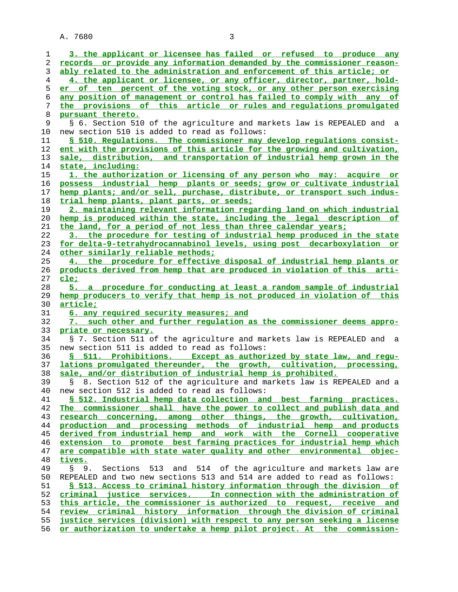| 1       | 3. the applicant or licensee has failed or refused to produce any                                                                               |
|---------|-------------------------------------------------------------------------------------------------------------------------------------------------|
| 2       | records or provide any information demanded by the commissioner reason-                                                                         |
| 3       | ably related to the administration and enforcement of this article; or                                                                          |
| 4<br>5  | 4. the applicant or licensee, or any officer, director, partner, hold-<br>er of ten percent of the voting stock, or any other person exercising |
| 6       | any position of management or control has failed to comply with any of                                                                          |
| 7<br>8  | the provisions of this article or rules and regulations promulgated<br>pursuant thereto.                                                        |
|         |                                                                                                                                                 |
| 9<br>10 | § 6. Section 510 of the agriculture and markets law is REPEALED and a<br>new section 510 is added to read as follows:                           |
| 11      | \$ 510. Requlations. The commissioner may develop regulations consist-                                                                          |
| 12      | ent with the provisions of this article for the growing and cultivation,                                                                        |
| 13      | sale, distribution, and transportation of industrial hemp grown in the                                                                          |
| 14      | state, including:                                                                                                                               |
| 15      | 1. the authorization or licensing of any person who may: acquire or                                                                             |
| 16      | possess industrial hemp plants or seeds; grow or cultivate industrial                                                                           |
| 17      | hemp plants; and/or sell, purchase, distribute, or transport such indus-                                                                        |
| 18      | trial hemp plants, plant parts, or seeds;                                                                                                       |
| 19      | 2. maintaining relevant information regarding land on which industrial                                                                          |
| 20      | hemp is produced within the state, including the legal description of                                                                           |
| 21      | the land, for a period of not less than three calendar years;                                                                                   |
| 22      | 3. the procedure for testing of industrial hemp produced in the state                                                                           |
| 23      | for delta-9-tetrahydrocannabinol levels, using post decarboxylation or                                                                          |
| 24      | other similarly reliable methods;                                                                                                               |
| 25      | 4. the procedure for effective disposal of industrial hemp plants or                                                                            |
| 26      | products derived from hemp that are produced in violation of this arti-                                                                         |
| 27      | <u>cle;</u>                                                                                                                                     |
| 28      | 5. a procedure for conducting at least a random sample of industrial                                                                            |
| 29      | hemp producers to verify that hemp is not produced in violation of this                                                                         |
| 30      | <u>article;</u>                                                                                                                                 |
| 31      | 6. any required security measures; and                                                                                                          |
| 32      | 7. such other and further regulation as the commissioner deems appro-                                                                           |
| 33      | priate or necessary.                                                                                                                            |
| 34      | § 7. Section 511 of the agriculture and markets law is REPEALED and a                                                                           |
| 35      | new section 511 is added to read as follows:                                                                                                    |
| 36      | § 511. Prohibitions. Except as authorized by state law, and requ-                                                                               |
| 37      | lations promulgated thereunder, the growth, cultivation, processing,                                                                            |
| 38      | sale, and/or distribution of industrial hemp is prohibited.                                                                                     |
| 39      | § 8. Section 512 of the agriculture and markets law is REPEALED and a                                                                           |
| 40      | new section 512 is added to read as follows:                                                                                                    |
| 41      | § 512. Industrial hemp data collection and best farming practices.                                                                              |
| 42      | The commissioner shall have the power to collect and publish data and                                                                           |
| 43      | research concerning, among other things, the growth, cultivation,                                                                               |
| 44      | production and processing methods of industrial hemp and products                                                                               |
| 45      | derived from industrial hemp and work with the Cornell cooperative                                                                              |
| 46      | extension to promote best farming practices for industrial hemp which                                                                           |
| 47      | are compatible with state water quality and other environmental objec-                                                                          |
| 48      | tives.                                                                                                                                          |
| 49      | § 9. Sections 513 and 514 of the agriculture and markets law are                                                                                |
| 50      | REPEALED and two new sections 513 and 514 are added to read as follows:                                                                         |
| 51      | § 513. Access to criminal history information through the division of                                                                           |
| 52      | criminal justice services. In connection with the administration of                                                                             |
| 53      | this article, the commissioner is authorized to request, receive and                                                                            |
| 54      | review criminal history information through the division of criminal                                                                            |
| 55      | justice services (division) with respect to any person seeking a license                                                                        |
| 56      | or authorization to undertake a hemp pilot project. At the commission-                                                                          |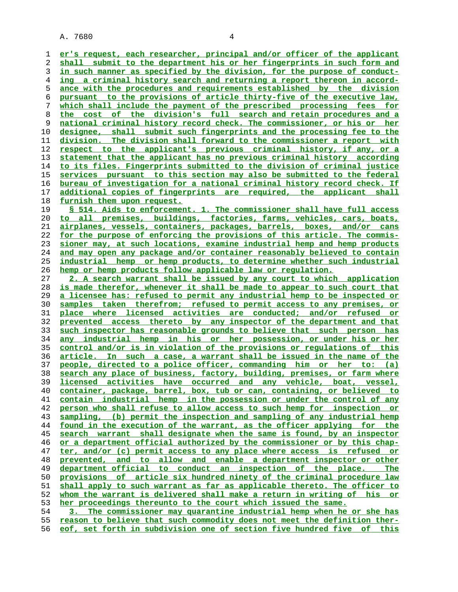**er's request, each researcher, principal and/or officer of the applicant shall submit to the department his or her fingerprints in such form and in such manner as specified by the division, for the purpose of conduct- ing a criminal history search and returning a report thereon in accord- ance with the procedures and requirements established by the division pursuant to the provisions of article thirty-five of the executive law, which shall include the payment of the prescribed processing fees for the cost of the division's full search and retain procedures and a national criminal history record check. The commissioner, or his or her designee, shall submit such fingerprints and the processing fee to the division. The division shall forward to the commissioner a report with respect to the applicant's previous criminal history, if any, or a statement that the applicant has no previous criminal history according to its files. Fingerprints submitted to the division of criminal justice services pursuant to this section may also be submitted to the federal bureau of investigation for a national criminal history record check. If additional copies of fingerprints are required, the applicant shall furnish them upon request. § 514. Aids to enforcement. 1. The commissioner shall have full access**

**to all premises, buildings, factories, farms, vehicles, cars, boats, airplanes, vessels, containers, packages, barrels, boxes, and/or cans for the purpose of enforcing the provisions of this article. The commis- sioner may, at such locations, examine industrial hemp and hemp products and may open any package and/or container reasonably believed to contain industrial hemp or hemp products, to determine whether such industrial hemp or hemp products follow applicable law or regulation.**

**2. A search warrant shall be issued by any court to which application is made therefor, whenever it shall be made to appear to such court that a licensee has: refused to permit any industrial hemp to be inspected or samples taken therefrom; refused to permit access to any premises, or place where licensed activities are conducted; and/or refused or prevented access thereto by any inspector of the department and that such inspector has reasonable grounds to believe that such person has any industrial hemp in his or her possession, or under his or her control and/or is in violation of the provisions or regulations of this article. In such a case, a warrant shall be issued in the name of the people, directed to a police officer, commanding him or her to: (a) search any place of business, factory, building, premises, or farm where licensed activities have occurred and any vehicle, boat, vessel, container, package, barrel, box, tub or can, containing, or believed to contain industrial hemp in the possession or under the control of any person who shall refuse to allow access to such hemp for inspection or sampling, (b) permit the inspection and sampling of any industrial hemp found in the execution of the warrant, as the officer applying for the search warrant shall designate when the same is found, by an inspector or a department official authorized by the commissioner or by this chap- ter, and/or (c) permit access to any place where access is refused or prevented, and to allow and enable a department inspector or other department official to conduct an inspection of the place. The provisions of article six hundred ninety of the criminal procedure law shall apply to such warrant as far as applicable thereto. The officer to whom the warrant is delivered shall make a return in writing of his or her proceedings thereunto to the court which issued the same. 3. The commissioner may quarantine industrial hemp when he or she has**

**reason to believe that such commodity does not meet the definition ther- eof, set forth in subdivision one of section five hundred five of this**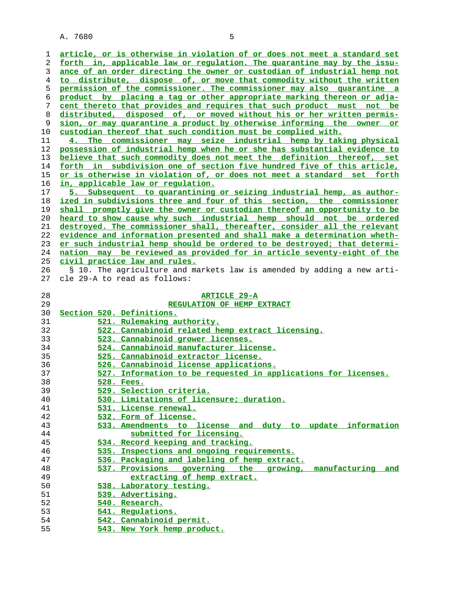**article, or is otherwise in violation of or does not meet a standard set forth in, applicable law or regulation. The quarantine may by the issu- ance of an order directing the owner or custodian of industrial hemp not to distribute, dispose of, or move that commodity without the written permission of the commissioner. The commissioner may also quarantine a product by placing a tag or other appropriate marking thereon or adja- cent thereto that provides and requires that such product must not be distributed, disposed of, or moved without his or her written permis- sion, or may quarantine a product by otherwise informing the owner or custodian thereof that such condition must be complied with.**

**4. The commissioner may seize industrial hemp by taking physical possession of industrial hemp when he or she has substantial evidence to believe that such commodity does not meet the definition thereof, set forth in subdivision one of section five hundred five of this article, or is otherwise in violation of, or does not meet a standard set forth in, applicable law or regulation.**

**5. Subsequent to quarantining or seizing industrial hemp, as author- ized in subdivisions three and four of this section, the commissioner shall promptly give the owner or custodian thereof an opportunity to be heard to show cause why such industrial hemp should not be ordered destroyed. The commissioner shall, thereafter, consider all the relevant evidence and information presented and shall make a determination wheth- er such industrial hemp should be ordered to be destroyed; that determi- nation may be reviewed as provided for in article seventy-eight of the civil practice law and rules.**

 26 § 10. The agriculture and markets law is amended by adding a new arti- 27 cle 29-A to read as follows:

| 28 | <b>ARTICLE 29-A</b>                                            |
|----|----------------------------------------------------------------|
| 29 | REGULATION OF HEMP EXTRACT                                     |
| 30 | Section 520. Definitions.                                      |
| 31 | 521. Rulemaking authority.                                     |
| 32 | 522. Cannabinoid related hemp extract licensing.               |
| 33 | 523. Cannabinoid grower licenses.                              |
| 34 | 524. Cannabinoid manufacturer license.                         |
| 35 | 525. Cannabinoid extractor license.                            |
| 36 | 526. Cannabinoid license applications.                         |
| 37 | 527. Information to be requested in applications for licenses. |
| 38 | 528. Fees.                                                     |
| 39 | 529. Selection criteria.                                       |
| 40 | 530. Limitations of licensure; duration.                       |
| 41 | 531. License renewal.                                          |
| 42 | 532. Form of license.                                          |
| 43 | 533. Amendments to license and duty to update information      |
| 44 | submitted for licensing.                                       |
| 45 | 534. Record keeping and tracking.                              |
| 46 | 535. Inspections and ongoing requirements.                     |
| 47 | 536. Packaging and labeling of hemp extract.                   |
| 48 | 537. Provisions governing the growing, manufacturing<br>and    |
| 49 | extracting of hemp extract.                                    |
| 50 | 538. Laboratory testing.                                       |
| 51 | 539. Advertising.                                              |
| 52 | 540. Research.                                                 |
| 53 | 541. Regulations.                                              |
| 54 | 542. Cannabinoid permit.                                       |
| 55 | 543. New York hemp product.                                    |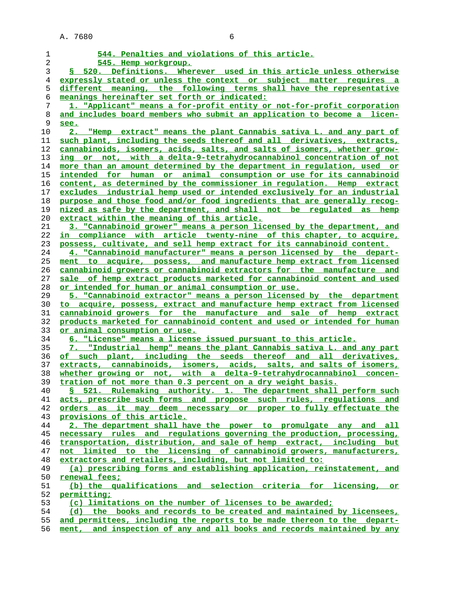| 1        | 544. Penalties and violations of this article.                                                                                          |
|----------|-----------------------------------------------------------------------------------------------------------------------------------------|
| 2        | 545. Hemp workgroup.                                                                                                                    |
| 3        | S 520. Definitions. Wherever used in this article unless otherwise                                                                      |
| 4        | expressly stated or unless the context or subject matter requires a                                                                     |
| 5        | different meaning, the following terms shall have the representative                                                                    |
| 6        | meanings hereinafter set forth or indicated:                                                                                            |
| 7        | 1. "Applicant" means a for-profit entity or not-for-profit corporation                                                                  |
| 8        | and includes board members who submit an application to become a licen-                                                                 |
| 9        | <u>see.</u>                                                                                                                             |
| 10       | 2. "Hemp extract" means the plant Cannabis sativa L. and any part of                                                                    |
| 11       | such plant, including the seeds thereof and all derivatives, extracts,                                                                  |
| 12       | cannabinoids, isomers, acids, salts, and salts of isomers, whether grow-                                                                |
| 13       | ing or not, with a delta-9-tetrahydrocannabinol concentration of not                                                                    |
| 14       | more than an amount determined by the department in regulation, used or                                                                 |
| 15       | intended for human or animal consumption or use for its cannabinoid                                                                     |
| 16       | content, as determined by the commissioner in requlation. Hemp extract                                                                  |
| 17       | excludes industrial hemp used or intended exclusively for an industrial                                                                 |
| 18       | purpose and those food and/or food ingredients that are generally recog-                                                                |
| 19       | nized as safe by the department, and shall not be requlated as hemp                                                                     |
| 20       | extract within the meaning of this article.                                                                                             |
| 21       | 3. "Cannabinoid grower" means a person licensed by the department, and                                                                  |
| 22       | in compliance with article twenty-nine of this chapter, to acquire,                                                                     |
| 23       | possess, cultivate, and sell hemp extract for its cannabinoid content.                                                                  |
| 24       | 4. "Cannabinoid manufacturer" means a person licensed by the depart-                                                                    |
| 25       | ment to acquire, possess, and manufacture hemp extract from licensed                                                                    |
| 26       | cannabinoid growers or cannabinoid extractors for the manufacture and                                                                   |
| 27       | sale of hemp extract products marketed for cannabinoid content and used                                                                 |
| 28       | or intended for human or animal consumption or use.                                                                                     |
| 29       | 5. "Cannabinoid extractor" means a person licensed by the department                                                                    |
| 30       | to acquire, possess, extract and manufacture hemp extract from licensed                                                                 |
| 31       | cannabinoid growers for the manufacture and sale of hemp extract                                                                        |
| 32       | products marketed for cannabinoid content and used or intended for human                                                                |
| 33       | or animal consumption or use.                                                                                                           |
| 34       | 6. "License" means a license issued pursuant to this article.                                                                           |
| 35       | 7. "Industrial hemp" means the plant Cannabis sativa L. and any part                                                                    |
| 36       | of such plant, including the seeds thereof and all derivatives,                                                                         |
| 37       | extracts, cannabinoids, isomers, acids, salts, and salts of isomers,                                                                    |
| 38       | whether growing or not, with a delta-9-tetrahydrocannabinol concen-                                                                     |
| 39       | tration of not more than 0.3 percent on a dry weight basis.<br>§ 521. Rulemaking authority. 1. The department shall perform such        |
| 40       |                                                                                                                                         |
| 41<br>42 | acts, prescribe such forms and propose such rules, requlations and<br>orders as it may deem necessary or proper to fully effectuate the |
| 43       | provisions of this article.                                                                                                             |
| 44       | 2. The department shall have the power to promulgate any and all                                                                        |
| 45       | necessary rules and regulations governing the production, processing,                                                                   |
| 46       | transportation, distribution, and sale of hemp extract, including but                                                                   |
| 47       | not limited to the licensing of cannabinoid growers, manufacturers,                                                                     |
| 48       | extractors and retailers, including, but not limited to:                                                                                |
| 49       | (a) prescribing forms and establishing application, reinstatement, and                                                                  |
| 50       | renewal fees;                                                                                                                           |
| 51       | (b) the qualifications and selection criteria for licensing, or                                                                         |
| 52       | permitting;                                                                                                                             |
| 53       | (c) limitations on the number of licenses to be awarded;                                                                                |
| 54       | (d) the books and records to be created and maintained by licensees,                                                                    |
| 55       | and permittees, including the reports to be made thereon to the depart-                                                                 |
| 56       | ment, and inspection of any and all books and records maintained by any                                                                 |
|          |                                                                                                                                         |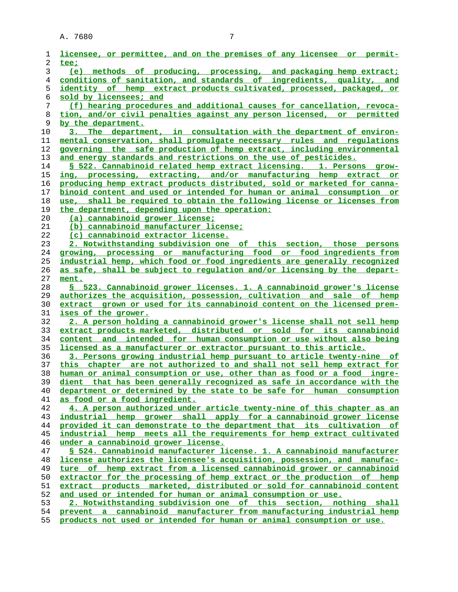| 1        | licensee, or permittee, and on the premises of any licensee or permit-                                                                              |
|----------|-----------------------------------------------------------------------------------------------------------------------------------------------------|
| 2        | tee;                                                                                                                                                |
| 3        | (e)<br>methods of producing, processing, and packaging hemp extract;                                                                                |
| 4        | conditions of sanitation, and standards of ingredients, quality, and                                                                                |
| 5        | identity of hemp extract products cultivated, processed, packaged, or                                                                               |
| 6        | sold by licensees; and                                                                                                                              |
| 7        | (f) hearing procedures and additional causes for cancellation, revoca-                                                                              |
| 8        | tion, and/or civil penalties against any person licensed, or permitted                                                                              |
| 9        | by the department.                                                                                                                                  |
| 10       | 3. The department, in consultation with the department of environ-                                                                                  |
| 11       | mental conservation, shall promulgate necessary rules and regulations                                                                               |
| 12       | governing the safe production of hemp extract, including environmental                                                                              |
| 13       | and energy standards and restrictions on the use of pesticides.                                                                                     |
| 14       | § 522. Cannabinoid related hemp extract licensing. 1. Persons grow-                                                                                 |
| 15       | ing, processing, extracting, and/or manufacturing hemp extract or                                                                                   |
| 16       | producing hemp extract products distributed, sold or marketed for canna-                                                                            |
| 17       | binoid content and used or intended for human or animal consumption or                                                                              |
| 18       | use, shall be required to obtain the following license or licenses from                                                                             |
| 19       | the department, depending upon the operation:                                                                                                       |
| 20       | (a) cannabinoid grower license;                                                                                                                     |
| 21       | (b) cannabinoid manufacturer license;                                                                                                               |
| 22       | (c) cannabinoid extractor license.                                                                                                                  |
| 23       | 2. Notwithstanding subdivision one of this section, those persons                                                                                   |
| 24       | growing, processing or manufacturing food or food ingredients from                                                                                  |
| 25       | industrial hemp, which food or food ingredients are generally recognized                                                                            |
| 26       | as safe, shall be subject to requlation and/or licensing by the depart-                                                                             |
| 27       | ment.                                                                                                                                               |
| 28       | § 523. Cannabinoid grower licenses. 1. A cannabinoid grower's license                                                                               |
| 29       | authorizes the acquisition, possession, cultivation and sale of hemp                                                                                |
| 30       | extract grown or used for its cannabinoid content on the licensed prem-                                                                             |
| 31<br>32 | ises of the grower.                                                                                                                                 |
|          | <u>2. A person holding a cannabinoid grower's license shall not sell hemp</u><br>extract products marketed, distributed or sold for its cannabinoid |
| 33<br>34 | content and intended for human consumption or use without also being                                                                                |
| 35       | <u>licensed as a manufacturer or extractor pursuant to this article.</u>                                                                            |
| 36       | 3. Persons growing industrial hemp pursuant to article twenty-nine of                                                                               |
| 37       | this chapter are not authorized to and shall not sell hemp extract for                                                                              |
| 38       | human or animal consumption or use, other than as food or a food ingre-                                                                             |
| 39       | dient that has been generally recognized as safe in accordance with the                                                                             |
| 40       | department or determined by the state to be safe for human consumption                                                                              |
| 41       | as food or a food ingredient.                                                                                                                       |
| 42       | 4. A person authorized under article twenty-nine of this chapter as an                                                                              |
| 43       | industrial hemp grower shall apply for a cannabinoid grower license                                                                                 |
| 44       | provided it can demonstrate to the department that its cultivation of                                                                               |
| 45       | industrial hemp meets all the requirements for hemp extract cultivated                                                                              |
| 46       | under a cannabinoid grower license.                                                                                                                 |
| 47       | § 524. Cannabinoid manufacturer license. 1. A cannabinoid manufacturer                                                                              |
| 48       | license authorizes the licensee's acquisition, possession, and manufac-                                                                             |
| 49       | ture of hemp extract from a licensed cannabinoid grower or cannabinoid                                                                              |
| 50       | extractor for the processing of hemp extract or the production of hemp                                                                              |
| 51       | extract products marketed, distributed or sold for cannabinoid content                                                                              |
| 52       | and used or intended for human or animal consumption or use.                                                                                        |
| 53       | 2. Notwithstanding subdivision one of this section, nothing shall                                                                                   |
| 54       | prevent a cannabinoid manufacturer from manufacturing industrial hemp                                                                               |
| 55       | products not used or intended for human or animal consumption or use.                                                                               |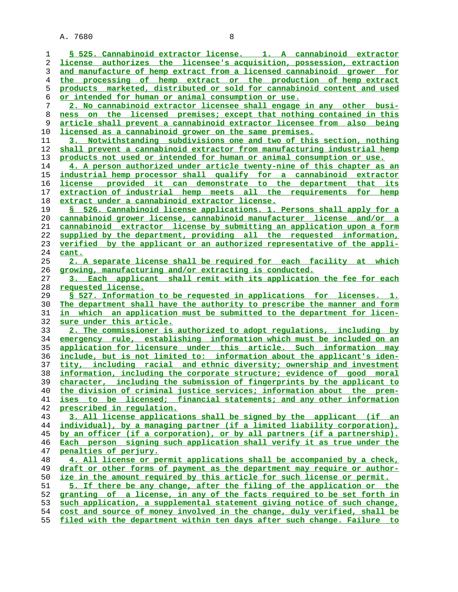**§ 525. Cannabinoid extractor license. 1. A cannabinoid extractor license authorizes the licensee's acquisition, possession, extraction and manufacture of hemp extract from a licensed cannabinoid grower for the processing of hemp extract or the production of hemp extract products marketed, distributed or sold for cannabinoid content and used or intended for human or animal consumption or use. 2. No cannabinoid extractor licensee shall engage in any other busi- ness on the licensed premises; except that nothing contained in this article shall prevent a cannabinoid extractor licensee from also being licensed as a cannabinoid grower on the same premises. 3. Notwithstanding subdivisions one and two of this section, nothing shall prevent a cannabinoid extractor from manufacturing industrial hemp products not used or intended for human or animal consumption or use. 4. A person authorized under article twenty-nine of this chapter as an industrial hemp processor shall qualify for a cannabinoid extractor license provided it can demonstrate to the department that its extraction of industrial hemp meets all the requirements for hemp extract under a cannabinoid extractor license. § 526. Cannabinoid license applications. 1. Persons shall apply for a cannabinoid grower license, cannabinoid manufacturer license and/or a cannabinoid extractor license by submitting an application upon a form supplied by the department, providing all the requested information, verified by the applicant or an authorized representative of the appli- cant. 2. A separate license shall be required for each facility at which growing, manufacturing and/or extracting is conducted. 3. Each applicant shall remit with its application the fee for each requested license. § 527. Information to be requested in applications for licenses. 1. The department shall have the authority to prescribe the manner and form in which an application must be submitted to the department for licen- sure under this article. 2. The commissioner is authorized to adopt regulations, including by emergency rule, establishing information which must be included on an application for licensure under this article. Such information may include, but is not limited to: information about the applicant's iden- tity, including racial and ethnic diversity; ownership and investment information, including the corporate structure; evidence of good moral character, including the submission of fingerprints by the applicant to the division of criminal justice services; information about the prem- ises to be licensed; financial statements; and any other information prescribed in regulation. 3. All license applications shall be signed by the applicant (if an individual), by a managing partner (if a limited liability corporation), by an officer (if a corporation), or by all partners (if a partnership). Each person signing such application shall verify it as true under the penalties of perjury. 4. All license or permit applications shall be accompanied by a check, draft or other forms of payment as the department may require or author- ize in the amount required by this article for such license or permit. 5. If there be any change, after the filing of the application or the granting of a license, in any of the facts required to be set forth in such application, a supplemental statement giving notice of such change, cost and source of money involved in the change, duly verified, shall be**

**filed with the department within ten days after such change. Failure to**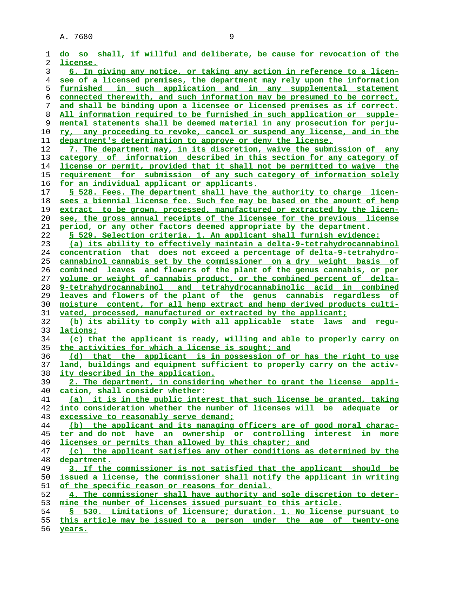| 1  | do so shall, if willful and deliberate, be cause for revocation of the   |
|----|--------------------------------------------------------------------------|
| 2  | license.                                                                 |
| 3  | 6. In giving any notice, or taking any action in reference to a licen-   |
| 4  | see of a licensed premises, the department may rely upon the information |
| 5  | furnished in such application and in any supplemental statement          |
| 6  | connected therewith, and such information may be presumed to be correct, |
| 7  | and shall be binding upon a licensee or licensed premises as if correct. |
| 8  | All information required to be furnished in such application or supple-  |
| 9  | mental statements shall be deemed material in any prosecution for perju- |
| 10 | ry, any proceeding to revoke, cancel or suspend any license, and in the  |
| 11 | department's determination to approve or deny the license.               |
| 12 | 7. The department may, in its discretion, waive the submission of any    |
| 13 | category of information described in this section for any category of    |
| 14 | license or permit, provided that it shall not be permitted to waive the  |
| 15 | requirement for submission of any such category of information solely    |
| 16 | for an individual applicant or applicants.                               |
| 17 | § 528. Fees. The department shall have the authority to charge licen-    |
|    | sees a biennial license fee. Such fee may be based on the amount of hemp |
| 18 |                                                                          |
| 19 | extract to be grown, processed, manufactured or extracted by the licen-  |
| 20 | see, the gross annual receipts of the licensee for the previous license  |
| 21 | period, or any other factors deemed appropriate by the department.       |
| 22 | § 529. Selection criteria. 1. An applicant shall furnish evidence:       |
| 23 | (a) its ability to effectively maintain a delta-9-tetrahydrocannabinol   |
| 24 | concentration that does not exceed a percentage of delta-9-tetrahydro-   |
| 25 | cannabinol cannabis set by the commissioner on a dry weight basis of     |
| 26 | combined leaves and flowers of the plant of the genus cannabis, or per   |
| 27 | volume or weight of cannabis product, or the combined percent of delta-  |
| 28 | 9-tetrahydrocannabinol and tetrahydrocannabinolic acid in combined       |
| 29 | leaves and flowers of the plant of the genus cannabis regardless of      |
| 30 | moisture content, for all hemp extract and hemp derived products culti-  |
| 31 | vated, processed, manufactured or extracted by the applicant;            |
| 32 | (b) its ability to comply with all applicable state laws and requ-       |
| 33 | lations;                                                                 |
| 34 | (c) that the applicant is ready, willing and able to properly carry on   |
| 35 | the activities for which a license is sought; and                        |
| 36 | (d) that the applicant is in possession of or has the right to use       |
| 37 | land, buildings and equipment sufficient to properly carry on the activ- |
| 38 | ity described in the application.                                        |
| 39 | 2. The department, in considering whether to grant the license appli-    |
| 40 | cation, shall consider whether:                                          |
| 41 | (a) it is in the public interest that such license be granted, taking    |
| 42 | into consideration whether the number of licenses will be adequate or    |
| 43 | excessive to reasonably serve demand;                                    |
| 44 | (b) the applicant and its managing officers are of good moral charac-    |
| 45 | ter and do not have an ownership or controlling interest in more         |
| 46 | licenses or permits than allowed by this chapter; and                    |
| 47 | (c) the applicant satisfies any other conditions as determined by the    |
| 48 | department.                                                              |
| 49 | 3. If the commissioner is not satisfied that the applicant should be     |
| 50 | issued a license, the commissioner shall notify the applicant in writing |
| 51 | of the specific reason or reasons for denial.                            |
| 52 | 4. The commissioner shall have authority and sole discretion to deter-   |
| 53 | mine the number of licenses issued pursuant to this article.             |
| 54 | § 530. Limitations of licensure; duration. 1. No license pursuant to     |
| 55 | this article may be issued to a person under the age of twenty-one       |
|    |                                                                          |

**years.**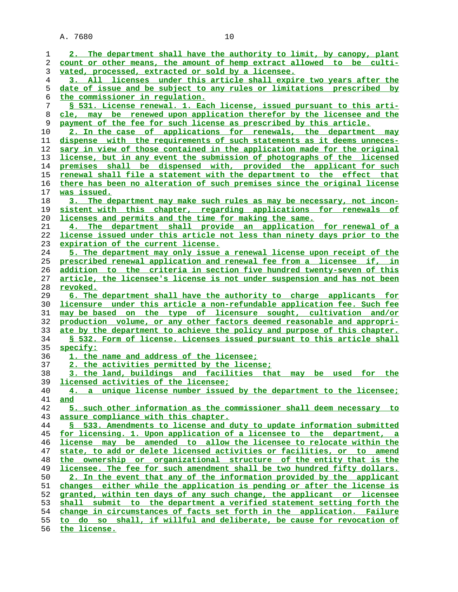| 1              | 2. The department shall have the authority to limit, by canopy, plant                                                                         |
|----------------|-----------------------------------------------------------------------------------------------------------------------------------------------|
| 2              | count or other means, the amount of hemp extract allowed to be culti-                                                                         |
| 3              | vated, processed, extracted or sold by a licensee.                                                                                            |
| $\overline{4}$ | 3. All licenses under this article shall expire two years after the                                                                           |
| 5              | date of issue and be subject to any rules or limitations prescribed by                                                                        |
| 6              | the commissioner in regulation.                                                                                                               |
| 7              | § 531. License renewal. 1. Each license, issued pursuant to this arti-                                                                        |
| 8              | cle, may be renewed upon application therefor by the licensee and the                                                                         |
| 9              | payment of the fee for such license as prescribed by this article.                                                                            |
| 10             | 2. In the case of applications for renewals, the department may                                                                               |
| 11             | dispense with the requirements of such statements as it deems unneces-                                                                        |
| 12             | sary in view of those contained in the application made for the original                                                                      |
| 13             | license, but in any event the submission of photographs of the licensed                                                                       |
| 14             |                                                                                                                                               |
|                | premises shall be dispensed with, provided the applicant for such                                                                             |
| 15             | renewal shall file a statement with the department to the effect that                                                                         |
| 16             | there has been no alteration of such premises since the original license                                                                      |
| 17             | was issued.                                                                                                                                   |
| 18             | The department may make such rules as may be necessary, not incon-<br>3.                                                                      |
| 19             | sistent with this chapter, regarding applications for renewals of                                                                             |
| 20             | licenses and permits and the time for making the same.                                                                                        |
| 21             | 4. The department shall provide an application for renewal of a                                                                               |
| 22             | license issued under this article not less than ninety days prior to the                                                                      |
| 23             | expiration of the current license.                                                                                                            |
| 24             | <u>5. The department may only issue a renewal license upon receipt of the</u>                                                                 |
| 25             | prescribed renewal application and renewal fee from a licensee if, in                                                                         |
| 26             | addition to the criteria in section five hundred twenty-seven of this                                                                         |
| 27             | article, the licensee's license is not under suspension and has not been                                                                      |
| 28             | revoked.                                                                                                                                      |
| 29             | 6. The department shall have the authority to charge applicants for                                                                           |
| 30             | <u>licensure under this article a non-refundable application fee. Such fee</u>                                                                |
| 31             | may be based on the type of licensure sought, cultivation and/or                                                                              |
| 32             | production volume, or any other factors deemed reasonable and appropri-                                                                       |
| 33             | ate by the department to achieve the policy and purpose of this chapter.                                                                      |
| 34             | \$ 532. Form of license. Licenses issued pursuant to this article shall                                                                       |
| 35             | specify:                                                                                                                                      |
| 36             | 1. the name and address of the licensee;                                                                                                      |
| 37             | 2. the activities permitted by the license;                                                                                                   |
| 38             | 3. the land, buildings and facilities that may be<br>used<br>for<br>the                                                                       |
| 39             | licensed activities of the licensee;                                                                                                          |
| 40             | 4. a unique license number issued by the department to the licensee;                                                                          |
| 41             | and                                                                                                                                           |
| 42             | 5. such other information as the commissioner shall deem necessary to                                                                         |
| 43             | assure compliance with this chapter.                                                                                                          |
| 44             | 533. Amendments to license and duty to update information submitted<br>S.                                                                     |
| 45             | for licensing. 1. Upon application of a licensee to the department, a                                                                         |
|                | license may be amended to allow the licensee to relocate within the                                                                           |
| 46             |                                                                                                                                               |
| 47             | state, to add or delete licensed activities or facilities, or to amend<br>the ownership or organizational structure of the entity that is the |
| 48             |                                                                                                                                               |
| 49             | licensee. The fee for such amendment shall be two hundred fifty dollars.                                                                      |
| 50             | 2. In the event that any of the information provided by the applicant                                                                         |
| 51             | changes either while the application is pending or after the license is                                                                       |
| 52             | granted, within ten days of any such change, the applicant or licensee                                                                        |
| 53             | shall submit to the department a verified statement setting forth the                                                                         |
| 54             | change in circumstances of facts set forth in the application. Failure                                                                        |
| 55             | to do so shall, if willful and deliberate, be cause for revocation of                                                                         |
| 56             | the license.                                                                                                                                  |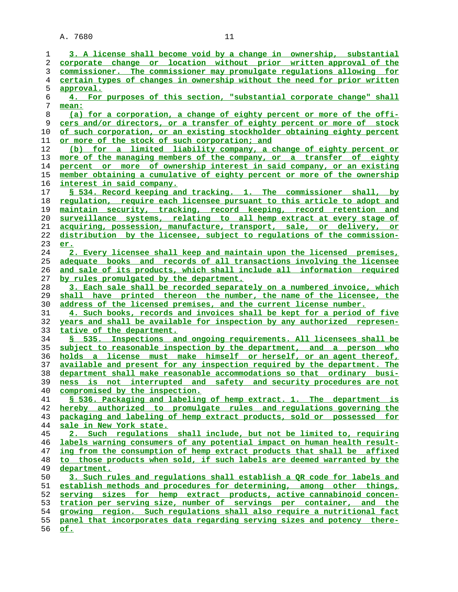| 1       | 3. A license shall become void by a change in ownership, substantial           |
|---------|--------------------------------------------------------------------------------|
| 2       | corporate change or location without prior written approval of the             |
| 3       | commissioner. The commissioner may promulgate regulations allowing for         |
| 4       | certain types of changes in ownership without the need for prior written       |
| 5       | approval.                                                                      |
| 6       | 4. For purposes of this section, "substantial corporate change" shall          |
| 7       | mean:                                                                          |
| $\,8\,$ | (a) for a corporation, a change of eighty percent or more of the offi-         |
| 9       | cers and/or directors, or a transfer of eighty percent or more of stock        |
| 10      | of such corporation, or an existing stockholder obtaining eighty percent       |
| 11      | or more of the stock of such corporation; and                                  |
| 12      | (b) for a limited liability company, a change of eighty percent or             |
| 13      | more of the managing members of the company, or a transfer of eighty           |
| 14      | percent or more of ownership interest in said company, or an existing          |
| 15      | member obtaining a cumulative of eighty percent or more of the ownership       |
| 16      | interest in said company.                                                      |
| 17      | § 534. Record keeping and tracking. 1. The commissioner shall, by              |
| 18      | regulation, require each licensee pursuant to this article to adopt and        |
| 19      | maintain security, tracking, record keeping, record retention and              |
| 20      | surveillance systems, relating to all hemp extract at every stage of           |
| 21      | acquiring, possession, manufacture, transport, sale, or delivery, or           |
| 22      | distribution by the licensee, subject to requlations of the commission-        |
| 23      | er.                                                                            |
| 24      | 2. Every licensee shall keep and maintain upon the licensed premises,          |
| 25      | adequate books and records of all transactions involving the licensee          |
| 26      | and sale of its products, which shall include all information required         |
| 27      | by rules promulgated by the department.                                        |
| 28      | 3. Each sale shall be recorded separately on a numbered invoice, which         |
| 29      | shall have printed thereon the number, the name of the licensee, the           |
| 30      | address of the licensed premises, and the current license number.              |
| 31      | 4. Such books, records and invoices shall be kept for a period of five         |
| 32      | years and shall be available for inspection by any authorized represen-        |
| 33      | tative of the department.                                                      |
| 34      | 535. Inspections and ongoing requirements. All licensees shall be<br>s         |
| 35      | subject to reasonable inspection by the department, and a person who           |
| 36      | holds a license must make himself or herself, or an agent thereof,             |
| 37      | available and present for any inspection required by the department. The       |
| 38      | department shall make reasonable accommodations so that ordinary busi-         |
| 39      | ness is not interrupted and safety and security procedures are not             |
| 40      | compromised by the inspection.                                                 |
| 41      | § 536. Packaging and labeling of hemp extract. 1. The department is            |
| 42      | hereby authorized to promulgate rules and requlations governing the            |
| 43      | packaging and labeling of hemp extract products, sold or possessed for         |
| 44      | sale in New York state.                                                        |
| 45      | 2. Such regulations shall include, but not be limited to, requiring            |
| 46      | labels warning consumers of any potential impact on human health result-       |
| 47      | ing from the consumption of hemp extract products that shall be affixed        |
| 48      | to those products when sold, if such labels are deemed warranted by the        |
| 49      | department.                                                                    |
| 50      | 3. Such rules and regulations shall establish a OR code for labels and         |
|         |                                                                                |
| 51      | establish methods and procedures for determining, among other things,          |
| 52      | serving sizes for hemp extract products, active cannabinoid concen-            |
| 53      | tration per serving size, number of servings per container, and the            |
| 54      | growing region. Such regulations shall also require a nutritional fact         |
| 55      | panel that incorporates data regarding serving sizes and potency there-<br>of. |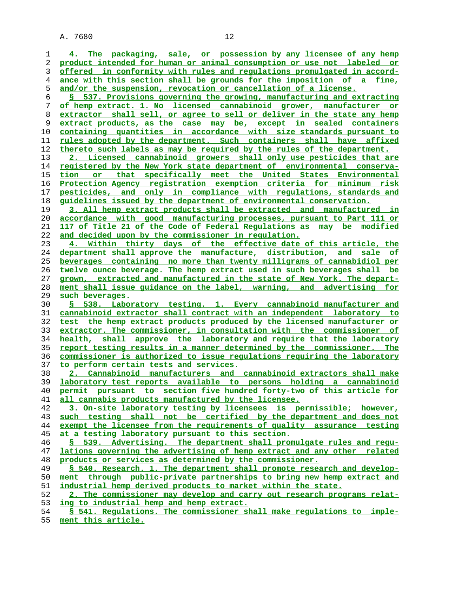| 1        | 4. The packaging, sale, or possession by any licensee of any hemp                                                  |
|----------|--------------------------------------------------------------------------------------------------------------------|
| 2        | product intended for human or animal consumption or use not labeled or                                             |
| 3        | offered in conformity with rules and regulations promulgated in accord-                                            |
| 4        | ance with this section shall be grounds for the imposition of a fine,                                              |
| 5        | and/or the suspension, revocation or cancellation of a license.                                                    |
| 6        | § 537. Provisions governing the growing, manufacturing and extracting                                              |
| 7        | of hemp extract. 1. No licensed cannabinoid grower, manufacturer or                                                |
| 8        | extractor shall sell, or agree to sell or deliver in the state any hemp                                            |
| 9        | extract products, as the case may be, except in sealed containers                                                  |
| 10       | containing quantities in accordance with size standards pursuant to                                                |
| 11       | rules adopted by the department. Such containers shall have affixed                                                |
| 12       | thereto such labels as may be required by the rules of the department.                                             |
| 13       | 2. Licensed cannabinoid growers shall only use pesticides that are                                                 |
| 14       | registered by the New York state department of environmental conserva-                                             |
| 15       | or that specifically meet the United States Environmental<br>tion                                                  |
| 16       | Protection Agency registration exemption criteria for minimum risk                                                 |
| 17       | pesticides, and only in compliance with regulations, standards and                                                 |
| 18       | guidelines issued by the department of environmental conservation.                                                 |
|          | 3. All hemp extract products shall be extracted and manufactured in                                                |
| 19       |                                                                                                                    |
| 20       | accordance with good manufacturing processes, pursuant to Part 111 or                                              |
| 21       | 117 of Title 21 of the Code of Federal Requlations as may be modified                                              |
| 22       | and decided upon by the commissioner in regulation.                                                                |
| 23       | 4. Within thirty days of the effective date of this article, the                                                   |
| 24       | department shall approve the manufacture, distribution, and sale of                                                |
| 25       | beverages containing no more than twenty milligrams of cannabidiol per                                             |
| 26       | twelve ounce beverage. The hemp extract used in such beverages shall be                                            |
| 27       | grown, extracted and manufactured in the state of New York. The depart-                                            |
|          |                                                                                                                    |
| 28       | ment shall issue guidance on the label, warning, and advertising for                                               |
| 29       | such beverages.                                                                                                    |
| 30       | S 538. Laboratory testing. 1. Every cannabinoid manufacturer and                                                   |
| 31       | cannabinoid extractor shall contract with an independent laboratory to                                             |
| 32       | test the hemp extract products produced by the licensed manufacturer or                                            |
| 33       | extractor. The commissioner, in consultation with the commissioner of                                              |
| 34       | health, shall approve the laboratory and require that the laboratory                                               |
| 35       | report testing results in a manner determined by the commissioner. The                                             |
| 36       | commissioner is authorized to issue requlations requiring the laboratory                                           |
| 37       | to perform certain tests and services.                                                                             |
| 38       | 2. Cannabinoid manufacturers and cannabinoid extractors shall make                                                 |
| 39       | laboratory test reports available to persons holding a cannabinoid                                                 |
| 40       | permit pursuant to section five hundred forty-two of this article for                                              |
| 41       | all cannabis products manufactured by the licensee.                                                                |
| 42       | 3. On-site laboratory testing by licensees is permissible; however,                                                |
| 43       | such testing shall not be certified by the department and does not                                                 |
| 44       | exempt the licensee from the requirements of quality assurance testing                                             |
| 45       | at a testing laboratory pursuant to this section.                                                                  |
| 46       | § 539. Advertising. The department shall promulgate rules and requ-                                                |
| 47       | lations governing the advertising of hemp extract and any other related                                            |
| 48       | products or services as determined by the commissioner.                                                            |
| 49       | \$ 540. Research. 1. The department shall promote research and develop-                                            |
| 50       | ment through public-private partnerships to bring new hemp extract and                                             |
| 51       | industrial hemp derived products to market within the state.                                                       |
| 52       | 2. The commissioner may develop and carry out research programs relat-                                             |
| 53<br>54 | ing to industrial hemp and hemp extract.<br>\$ 541. Requlations. The commissioner shall make requlations to imple- |

**ment this article.**